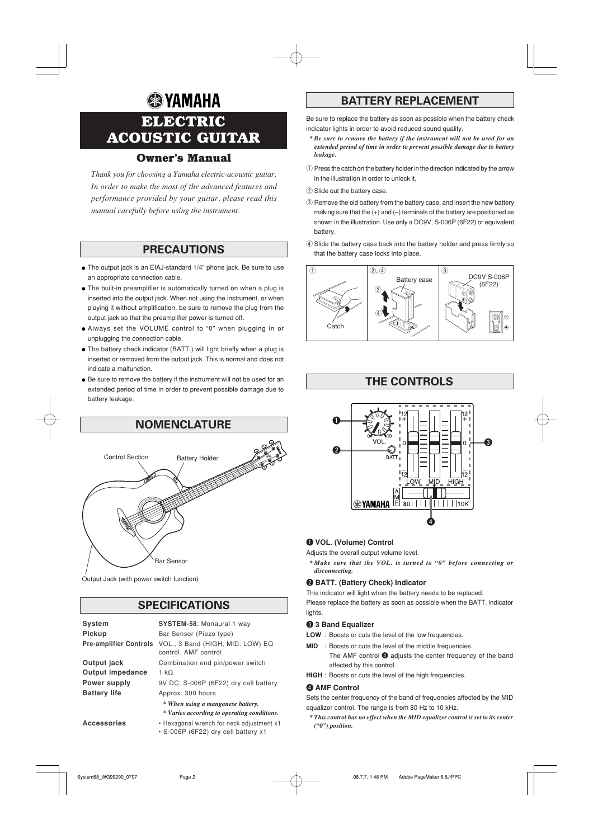# **& YAMAHA ELECTRIC ACOUSTIC GUITAR**

# **Owner's Manual**

*Thank you for choosing a Yamaha electric-acoustic guitar. In order to make the most of the advanced features and performance provided by your guitar, please read this manual carefully before using the instrument.*

## **PRECAUTIONS**

- The output jack is an EIAJ-standard 1/4" phone jack. Be sure to use an appropriate connection cable.
- The built-in preamplifier is automatically turned on when a plug is inserted into the output jack. When not using the instrument, or when playing it without amplification, be sure to remove the plug from the output jack so that the preamplifier power is turned off.
- Always set the VOLUME control to "0" when plugging in or unplugging the connection cable.
- The battery check indicator (BATT.) will light briefly when a plug is inserted or removed from the output jack. This is normal and does not indicate a malfunction.
- Be sure to remove the battery if the instrument will not be used for an extended period of time in order to prevent possible damage due to battery leakage.



Output Jack (with power switch function)

# **SPECIFICATIONS**

| <b>System</b>                 | <b>SYSTEM-58: Monaural 1 way</b>                                                 |
|-------------------------------|----------------------------------------------------------------------------------|
| Pickup                        | Bar Sensor (Piezo type)                                                          |
| <b>Pre-amplifier Controls</b> | VOL., 3 Band (HIGH, MID, LOW) EQ<br>control, AMF control                         |
| Output jack                   | Combination end pin/power switch                                                 |
| <b>Output impedance</b>       | 1 k $\Omega$                                                                     |
| Power supply                  | 9V DC, S-006P (6F22) dry cell battery                                            |
| <b>Battery life</b>           | Approx. 300 hours                                                                |
|                               | * When using a manganese battery.<br>* Varies according to operating conditions. |
| <b>Accessories</b>            | • Hexagonal wrench for neck adjustment x1<br>· S-006P (6F22) dry cell battery x1 |

# **BATTERY REPLACEMENT**

Be sure to replace the battery as soon as possible when the battery check indicator lights in order to avoid reduced sound quality.

- *\* Be sure to remove the battery if the instrument will not be used for an extended period of time in order to prevent possible damage due to battery leakage.*
- q Press the catch on the battery holder in the direction indicated by the arrow in the illustration in order to unlock it.

(2) Slide out the battery case.

- 3) Remove the old battery from the battery case, and insert the new battery making sure that the  $(+)$  and  $(-)$  terminals of the battery are positioned as shown in the illustration. Use only a DC9V, S-006P (6F22) or equivalent battery.
- 4) Slide the battery case back into the battery holder and press firmly so that the battery case locks into place.





## q **VOL. (Volume) Control**

Adjusts the overall output volume level.

®YAMAHA Ë

*\* Make sure that the VOL. is turned to "0" before connecting or disconnecting.*

 $\bf o$ 

80||||||||||||10K

## **@ BATT. (Battery Check) Indicator**

This indicator will light when the battery needs to be replaced. Please replace the battery as soon as possible when the BATT. indicator lights.

### **8** 3 Band Equalizer

- **LOW** : Boosts or cuts the level of the low frequencies.
- **MID** : Boosts or cuts the level of the middle frequencies.
	- The AMF control  $\bullet$  adjusts the center frequency of the band affected by this control.
- **HIGH** : Boosts or cuts the level of the high frequencies.

## **4 AMF Control**

Sets the center frequency of the band of frequencies affected by the MID equalizer control. The range is from 80 Hz to 10 kHz.

*\* This control has no effect when the MID equalizer control is set to its center ("0") position.*